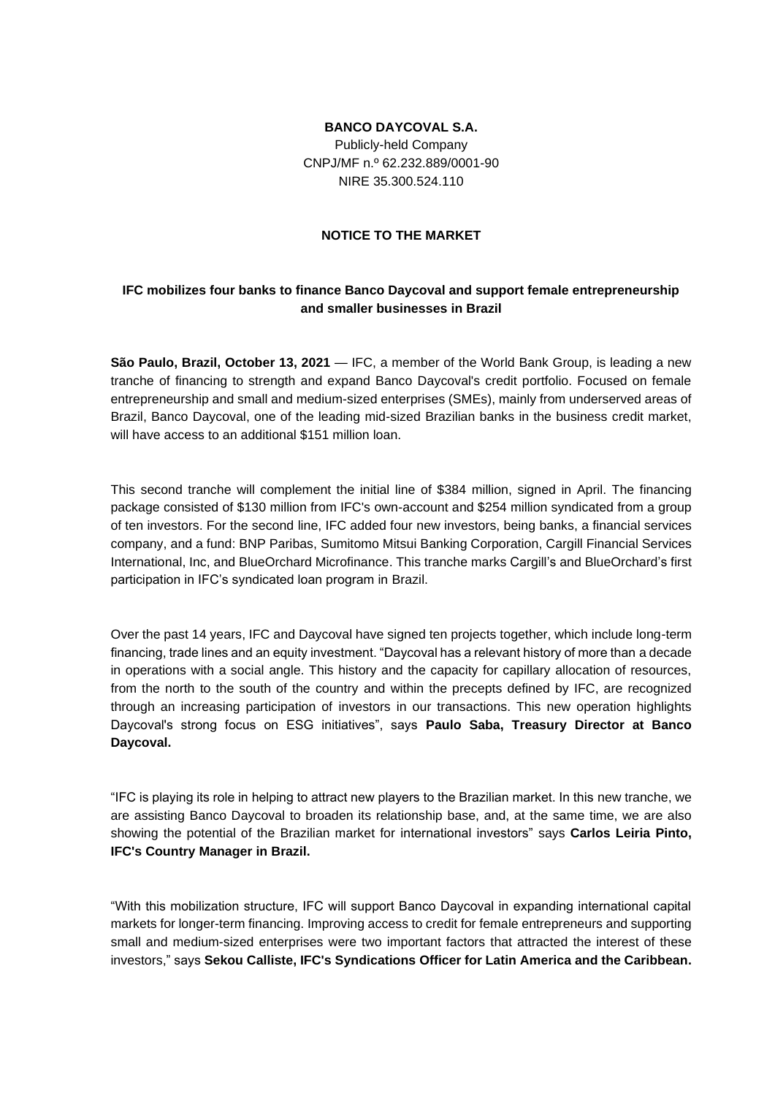### **BANCO DAYCOVAL S.A.**

Publicly-held Company CNPJ/MF n.º 62.232.889/0001-90 NIRE 35.300.524.110

#### **NOTICE TO THE MARKET**

# **IFC mobilizes four banks to finance Banco Daycoval and support female entrepreneurship and smaller businesses in Brazil**

**São Paulo, Brazil, October 13, 2021** — IFC, a member of the World Bank Group, is leading a new tranche of financing to strength and expand Banco Daycoval's credit portfolio. Focused on female entrepreneurship and small and medium-sized enterprises (SMEs), mainly from underserved areas of Brazil, Banco Daycoval, one of the leading mid-sized Brazilian banks in the business credit market, will have access to an additional \$151 million loan.

This second tranche will complement the initial line of \$384 million, signed in April. The financing package consisted of \$130 million from IFC's own-account and \$254 million syndicated from a group of ten investors. For the second line, IFC added four new investors, being banks, a financial services company, and a fund: BNP Paribas, Sumitomo Mitsui Banking Corporation, Cargill Financial Services International, Inc, and BlueOrchard Microfinance. This tranche marks Cargill's and BlueOrchard's first participation in IFC's syndicated loan program in Brazil.

Over the past 14 years, IFC and Daycoval have signed ten projects together, which include long-term financing, trade lines and an equity investment. "Daycoval has a relevant history of more than a decade in operations with a social angle. This history and the capacity for capillary allocation of resources, from the north to the south of the country and within the precepts defined by IFC, are recognized through an increasing participation of investors in our transactions. This new operation highlights Daycoval's strong focus on ESG initiatives", says **Paulo Saba, Treasury Director at Banco Daycoval.**

"IFC is playing its role in helping to attract new players to the Brazilian market. In this new tranche, we are assisting Banco Daycoval to broaden its relationship base, and, at the same time, we are also showing the potential of the Brazilian market for international investors" says **Carlos Leiria Pinto, IFC's Country Manager in Brazil.**

"With this mobilization structure, IFC will support Banco Daycoval in expanding international capital markets for longer-term financing. Improving access to credit for female entrepreneurs and supporting small and medium-sized enterprises were two important factors that attracted the interest of these investors," says **Sekou Calliste, IFC's Syndications Officer for Latin America and the Caribbean.**